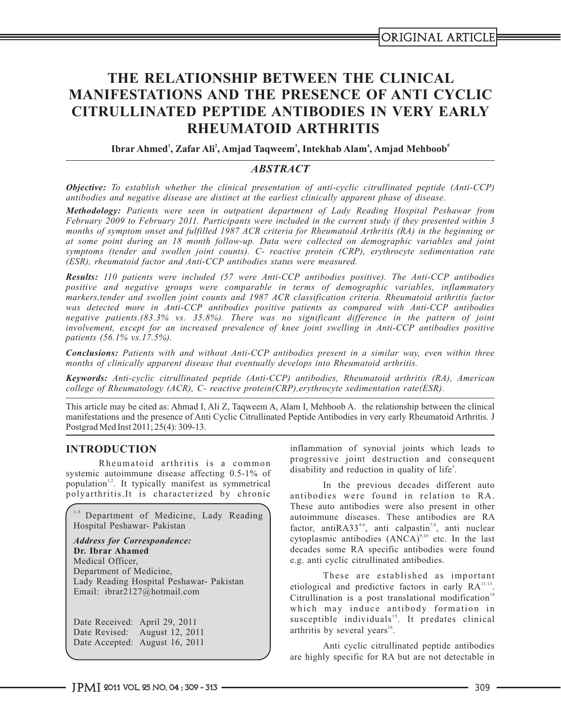# **THE RELATIONSHIP BETWEEN THE CLINICAL MANIFESTATIONS AND THE PRESENCE OF ANTI CYCLIC CITRULLINATED PEPTIDE ANTIBODIES IN VERY EARLY RHEUMATOID ARTHRITIS**

**1 2 3 4 5 Ibrar Ahmed , Zafar Ali , Amjad Taqweem , Intekhab Alam , Amjad Mehboob**

# *ABSTRACT*

*Objective: To establish whether the clinical presentation of anti-cyclic citrullinated peptide (Anti-CCP) antibodies and negative disease are distinct at the earliest clinically apparent phase of disease.*

*months of symptom onset and fulfilled 1987 ACR criteria for Rheumatoid Arthritis (RA) in the beginning or Methodology: Patients were seen in outpatient department of Lady Reading Hospital Peshawar from February 2009 to February 2011. Participants were included in the current study if they presented within 3 at some point during an 18 month follow-up. Data were collected on demographic variables and joint symptoms (tender and swollen joint counts). C- reactive protein (CRP), erythrocyte sedimentation rate (ESR), rheumatoid factor and Anti-CCP antibodies status were measured.*

*Results: 110 patients were included (57 were Anti-CCP antibodies positive). The Anti-CCP antibodies positive and negative groups were comparable in terms of demographic variables, inflammatory markers,tender and swollen joint counts and 1987 ACR classification criteria. Rheumatoid arthritis factor was detected more in Anti-CCP antibodies positive patients as compared with Anti-CCP antibodies negative patients.(83.3% vs. 35.8%). There was no significant difference in the pattern of joint involvement, except for an increased prevalence of knee joint swelling in Anti-CCP antibodies positive patients (56.1% vs.17.5%).*

*Conclusions: Patients with and without Anti-CCP antibodies present in a similar way, even within three months of clinically apparent disease that eventually develops into Rheumatoid arthritis.*

*Keywords: Anti-cyclic citrullinated peptide (Anti-CCP) antibodies, Rheumatoid arthritis (RA), American college of Rheumatology (ACR), C- reactive protein(CRP),erythrocyte sedimentation rate(ESR).*

This article may be cited as: Ahmad I, Ali Z, Taqweem A, Alam I, Mehboob A. the relationship between the clinical manifestations and the presence of Anti Cyclic Citrullinated Peptide Antibodies in very early Rheumatoid Arthritis. J Postgrad Med Inst 2011; 25(4): 309-13.

systemic autoimmune disease affecting 0.5-1% of population<sup>1,2</sup>. It typically manifest as symmetrical In the previous decades different auto polyarthritis.It is characterized by chronic antibodies were found in relation to RA.

1-5 Department of Medicine, Lady Reading Hospital Peshawar- Pakistan

**Dr. Ibrar Ahamed** Email: ibrar2127@hotmail.com *Address for Correspondence:* Medical Officer, Department of Medicine, Lady Reading Hospital Peshawar- Pakistan

Date Received: April 29, 2011 Date Revised: August 12, 2011 Date Accepted: August 16, 2011

**INTRODUCTION** inflammation of synovial joints which leads to Rheumatoid arthritis is a common progressive joint destruction and consequent disability and reduction in quality of life<sup>3</sup>.

> These auto antibodies were also present in other autoimmune diseases. These antibodies are RA factor, antiRA33<sup>46</sup>, anti calpastin<sup>7,8</sup>, anti nuclear cytoplasmic antibodies  $(ANCA)^{9,10}$  etc. In the last decades some RA specific antibodies were found e.g. anti cyclic citrullinated antibodies.

> These are established as important etiological and predictive factors in early  $RA$ <sup>11-13</sup>. Citrullination is a post translational modification<sup>14</sup> which may induce antibody formation in susceptible individuals<sup>15</sup>. It predates clinical arthritis by several years<sup>16</sup>.

> Anti cyclic citrullinated peptide antibodies are highly specific for RA but are not detectable in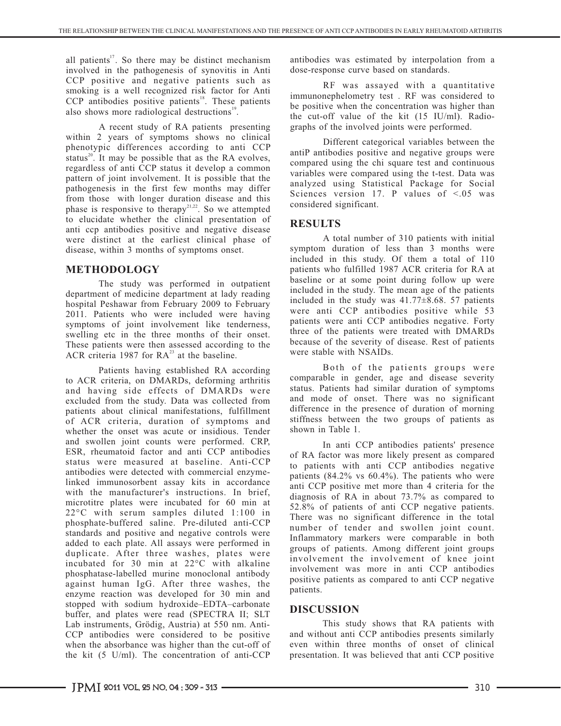all patients<sup>17</sup>. So there may be distinct mechanism antibodies was estimated by interpolation from a involved in the pathogenesis of synovitis in Anti dose-response curve based on standards. CCP positive and negative patients such as smoking is a well recognized risk factor for Anti  $CCP$  antibodies positive patients<sup>18</sup>. These patients **be positive when the concentration was higher than** also shows more radiological destructions<sup>19</sup>.

within 2 years of symptoms shows no clinical Different categorical variables between the phenotypic differences according to anti CCP status<sup>20</sup>. It may be possible that as the RA evolves, regardless of anti CCP status it develop a common pattern of joint involvement. It is possible that the from those with longer duration disease and this considered significant.<br>
phase is responsive to therapy<sup>21,22</sup>. So we attempted considered significant. to elucidate whether the clinical presentation of **RESULTS** anti ccp antibodies positive and negative disease were distinct at the earliest clinical phase of A total number of 310 patients with initial disease, within 3 months of symptoms onset. Symptom duration of less than 3 months were

The study was performed in outpatient<br>department of medicine department at lady reading<br>here included in the study. The mean age of the patients<br>here included in the study was  $41.77\pm8.68$ . 57 patients hospital Peshawar from February 2009 to February 2011. Patients who were included were having symptoms of joint involvement like tenderness, patients were anti CCP antibodies negative. Forty symptoms of joint in the three months of their onset swelling etc in the three months of their onset.<br>These patients were then assessed according to the the theorem because of the severity of disease. Rest of patients These patients were then assessed according to the because of the severity of  $\triangle$ CB exiteria. 109.7 for  $R^{23}$  at the because  $\triangle$ ACR criteria 1987 for  $RA^{23}$  at the baseline. Were stable with NSAIDs.

to ACR criteria, on DMARDs, deforming arthritis<br>and having side effects of DMARDs were status. Patients had similar duration of symptoms and having side effects of DMARDs were status. Patients had similar duration of symptoms excluded from the study Data was collected from and mode of onset. There was no significant excluded from the study. Data was collected from and mode of onset. There was no significant expansion of morning difference in the presence of duration of morning patients about clinical manifestations, fulfillment difference in the presence of duration of morning<br>patients about clinical manifestations, fulfillment difference in the presence of duration of symptoms and stiffness bet of ACR criteria, duration of symptoms and stiffness between whether the onset was acute or insidious Tender shown in Table 1. whether the onset was acute or insidious. Tender shown in Table 1. and swollen joint counts were performed. CRP,<br>ESR, rheumatoid factor and anti CCP antibodies of PA foster was more likely present as compared ESR, rheumatoid factor and anti-CCP antibodies of RA factor was more likely present as compared status were measured at baseline. Anti-CCP to patients with onti-CCP antibodies posstive antibodies were detected with commercial enzymeantibodies were defected with commercial enzyme-<br>linked immunosorbent assay kits in accordance anti CCP positive met more than 4 criteria for the with the manufacturer's instructions. In brief, microtitre plates were incubated for 60 min at  $\frac{12.8\%}{52.8\%}$  of patients of anti CCP negative patients. phosphate-buffered saline. Pre-diluted anti-CCP standards and positive and negative controls were Inflammatory markers were comparable in both added to each plate. All assays were performed in added to each plate. All assays were performed in groups of patients. Among different joint groups duplicate. After three washes, plates were incubated for 30 min at 22°C with alkaline phosphatase-labelled murine monoclonal antibody against human IgG. After three washes, the enzyme reaction was developed for 30 min and stopped with sodium hydroxide–EDTA–carbonate stopped with sodium hydroxide–EDTA–carbonate **DISCUSSION** buffer, and plates were read (SPECTRA II; SLT Lab instruments, Grödig, Austria) at 550 nm. Anti-<br>CCP antibodies were considered to be positive and without anti CCP antibodies presents similarly when the absorbance was higher than the cut-off of the kit  $(5 \text{ U/ml})$ . The concentration of anti-CCP

RF was assayed with a quantitative immunonephelometry test. RF was considered to the cut-off value of the kit (15 IU/ml). Radio-A recent study of RA patients presenting graphs of the involved joints were performed.

> antiP antibodies positive and negative groups were compared using the chi square test and continuous variables were compared using the t-test. Data was analyzed using Statistical Package for Social Sciences version 17. P values of  $\leq 0.05$  was

included in this study. Of them a total of 110 **METHODOLOGY** patients who fulfilled 1987 ACR criteria for RA at the criteria for state patients who fulfilled 1987 ACR criteria for RA at the criteria for the criteria follow up were were anti CCP antibodies positive while 53 patients were anti CCP antibodies negative. Forty

Patients having established RA according Both of the patients groups were

to patients with anti-CCP antibodies negative diagnosis of RA in about 73.7% as compared to There was no significant difference in the total number of tender and swollen joint count. involvement the involvement of knee joint involvement was more in anti CCP antibodies positive patients as compared to anti CCP negative patients.

and without anti CCP antibodies presents similarly even within three months of onset of clinical presentation. It was believed that anti CCP positive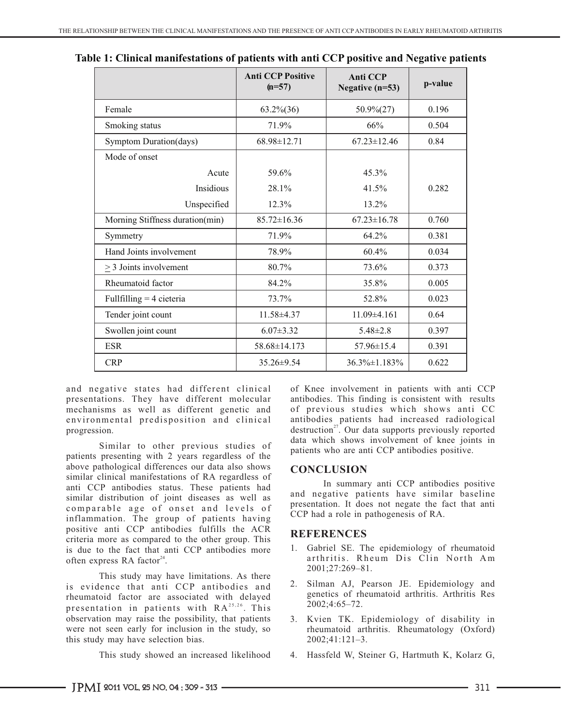|                                 | <b>Anti CCP Positive</b><br>$(n=57)$ | <b>Anti CCP</b><br>Negative $(n=53)$ | p-value |
|---------------------------------|--------------------------------------|--------------------------------------|---------|
| Female                          | $63.2\% (36)$                        | $50.9\%(27)$                         | 0.196   |
| Smoking status                  | 71.9%                                | 66%                                  | 0.504   |
| Symptom Duration(days)          | 68.98±12.71                          | $67.23 \pm 12.46$                    | 0.84    |
| Mode of onset                   |                                      |                                      |         |
| Acute                           | 59.6%                                | 45.3%                                |         |
| Insidious                       | 28.1%                                | 41.5%                                | 0.282   |
| Unspecified                     | $12.3\%$                             | $13.2\%$                             |         |
| Morning Stiffness duration(min) | $85.72 \pm 16.36$                    | $67.23 \pm 16.78$                    | 0.760   |
| Symmetry                        | 71.9%                                | 64.2%                                | 0.381   |
| Hand Joints involvement         | 78.9%                                | 60.4%                                | 0.034   |
| $\geq$ 3 Joints involvement     | 80.7%                                | 73.6%                                | 0.373   |
| Rheumatoid factor               | 84.2%                                | 35.8%                                | 0.005   |
| Fullfilling $=$ 4 cieteria      | 73.7%                                | 52.8%                                | 0.023   |
| Tender joint count              | $11.58 \pm 4.37$                     | $11.09\pm4.161$                      | 0.64    |
| Swollen joint count             | $6.07 \pm 3.32$                      | $5.48 \pm 2.8$                       | 0.397   |
| <b>ESR</b>                      | 58.68±14.173                         | 57.96±15.4                           | 0.391   |
| <b>CRP</b>                      | 35.26±9.54                           | 36.3%±1.183%                         | 0.622   |

| Table 1: Clinical manifestations of patients with anti CCP positive and Negative patients |  |  |
|-------------------------------------------------------------------------------------------|--|--|
|-------------------------------------------------------------------------------------------|--|--|

and negative states had different clinical of Knee involvement in patients with anti CCP presentations. They have different molecular antibodies. This finding is consistent with results mechanisms as well as different genetic and of previous studies which shows anti CC environmental predisposition and clinical progression.

patients presenting with 2 years regardless of the above pathological differences our data also shows **CONCLUSION** similar clinical manifestations of RA regardless of In summary anti CCP antibodies status. These patients had antisimilar distribution of joint diseases as well as comparable age of onset and levels of presentation. It does not negate the fact that  $\text{CCP}$  had a role in pathogenesis of RA. inflammation. The group of patients having positive anti CCP antibodies fulfills the ACR **REFERENCES** criteria more as compared to the other group. This is due to the fact that anti CCP antibodies more often express RA factor<sup>24</sup>.

This study may have limitations. As there is evidence that anti CCP antibodies and rheumatoid factor are associated with delayed presentation in patients with  $RA^{25,26}$ . This observation may raise the possibility, that patients were not seen early for inclusion in the study, so this study may have selection bias.

This study showed an increased likelihood

progression. The contract of the destruction<sup>27</sup>. Our data supports previously reported Similar to other previous studies of data which shows involvement of knee joints in Similar to other previous studies of patients who are not CCP antibodies positive patients who are anti CCP antibodies positive.

and negative patients have similar baseline presentation. It does not negate the fact that anti

- 1. Gabriel SE. The epidemiology of rheumatoid arthritis. Rheum Dis Clin North Am 2001;27:269–81.
- 2. Silman AJ, Pearson JE. Epidemiology and genetics of rheumatoid arthritis. Arthritis Res 2002;4:65–72.
- 3. Kvien TK. Epidemiology of disability in rheumatoid arthritis. Rheumatology (Oxford) 2002;41:121–3.
- 4. Hassfeld W, Steiner G, Hartmuth K, Kolarz G,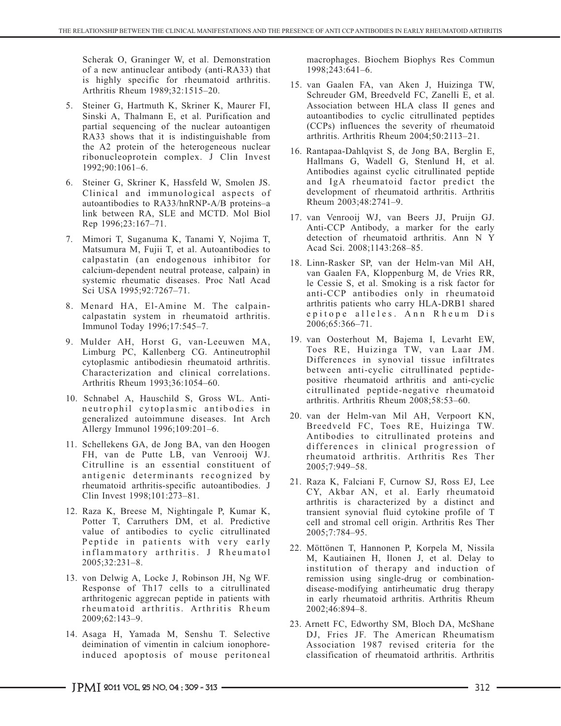Scherak O, Graninger W, et al. Demonstration macrophages. Biochem Biophys Res Commun of a new antinuclear antibody (anti-RA33) that 1998:243:641–6. of a new antinuclear antibody (anti-RA33) that is highly specific for rheumatoid arthritis.<br>Arthritis Rheum 1989;32:1515-20.

- 5. Steiner G, Hartmuth K, Skriner K, Maurer FI, Sinski A, Thalmann E, et al. Purification and partial sequencing of the nuclear autoantigen (CCPs) influences the severity of rheumat RA33 shows that it is indistinguishable from arthritis. Arthritis Rheum 2004;50:2113–21. RA33 shows that it is indistinguishable from the A2 protein of the heterogeneous nuclear
- 6. Steiner G, Skriner K, Hassfeld W, Smolen JS. and IgA rheumatoid factor predict the Clinical and immunological aspects of development of rheuma<br>autoantibodies to  $R_A$ 33/hn $RNP-A/B$  proteins-a Rheum 2003;48:2741-9. autoantibodies to RA33/hnRNP-A/B proteins–a link between RA, SLE and MCTD. Mol Biol
- 7. Mimori T, Suganuma K, Tanami Y, Nojima T, detection of rheumatoid arthritis. Matsumura M, Fujii T, et al. Autoantibodies to Acad Sci. 2008;1143:268–85. Matsumura M, Fujii T, et al. Autoantibodies to calpastatin (an endogenous inhibitor for 18. Linn-Rasker SP, van der Helm-van Mil AH, calcium-dependent neutral protease, calpain) in van Gaalen EA Kloppenburg M de Vries RR Sci USA 1995;92:7267–71.
- 2006;65:366–71. Immunol Today 1996;17:545–7.
- Characterization and clinical correlations.<br>Arthritis Rheum 1993;36:1054-60.
- 10. Schnabel A, Hauschild S, Gross WL. Antineutrophil cytoplasmic antibodies in
- Citrulline is an essential constituent of 2005;7:949–58. antigenic determinants recognized by
- 12. Raza K, Breese M, Nightingale P, Kumar K, transient synovial fluid cytokine profile of T value of antibodies to cyclic citrullinated 2005;7:784-95. Peptide in patients with very early
- 13. von Delwig A, Locke J, Robinson JH, Ng WF. remission using single-drug or combinationrheumatoid arthritis. Arthritis Rheum 2002;46:894-8.
- 14. Asaga H, Yamada M, Senshu T. Selective DJ, Fries JF. The American Rheumatism<br>deimination of vimentin in calcium ionophore-<br>Association 1987 revised criteria for the induced apoptosis of mouse peritoneal

- 15. van Gaalen FA, van Aken J, Huizinga TW, Schreuder GM, Breedveld FC, Zanelli E, et al.<br>Association between HLA class II genes and autoantibodies to cyclic citrullinated peptides (CCPs) influences the severity of rheumatoid
- the A2 protein of the heterogeneous nuclear 16. Rantapaa-Dahlqvist S, de Jong BA, Berglin E, ribonucleoprotein complex. J Clin Invest Hellmans C, Wodell C, Stanland H, et al. ribonucleoprotein complex. J Clin Invest<br>
Hallmans G, Wadell G, Stenlund H, et al.<br>
Antibodies against cyclic citrullinated peptide<br>
Steiner G. Skriner K. Hassfeld W. Smolen JS.<br>
and IgA rheumatoid factor predict the
- link between RA, SLE and MCTD. Mol Biol 17. van Venrooij WJ, van Beers JJ, Pruijn GJ. Anti-CCP Antibody, a marker for the early detection of rheumatoid arthritis. Ann N Y
- calcium-dependent neutral protease, calpain) in van Gaalen FA, Kloppenburg M, de Vries RR, le Cessie S, et al. Smoking is a risk factor for anti-CCP antibodies only in rheumatoid 8. Menard HA, El-Amine M. The calpain- arthritis patients who carry HLA-DRB1 shared calpastatin system in rheumatoid arthritis.  $epitope$  alleles. Ann Rheum Dis<br>Immunol Today 1996:17:545-7<br>2006:65:366-71.
- 9. Mulder AH, Horst G, van-Leeuwen MA, <sup>19</sup>. van Oosterhout M, Bajema I, Levarht EW, 9. Mulder AH, Horst G, Antineutrophil Toes RE, Huizinga TW, van Laar JM. Limburg PC, Kallenberg CG. Antineutrophil Toes RE, Huizinga TW, van Laar JM. Differences in synovial tissue infiltrates cytoplasmic antibodiesin rheumatoid arthritis. positive rheumatoid arthritis and anti-cyclic citrullinated peptide-negative rheumatoid
- 20. van der Helm-van Mil AH, Verpoort KN, generalized autoimmune diseases. Int Arch Allergy Immunol 1996;109:201–6. Breedveld FC, Toes RE, Huizinga TW. Antibodies to citrullinated proteins and 11. Schellekens GA, de Jong BA, van den Hoogen differences in clinical progression of FH, van de Putte LB, van Venrooij WJ. Theumatoid arthritis. Arthritis Res Ther rheumatoid arthritis. Arthritis Res Ther
	- 21. Raza K, Falciani F, Curnow SJ, Ross EJ, Lee rheumatoid arthritis-specific autoantibodies. J CY, Akbar AN, et al. Early rheumatoid Clin Invest 1998;101:273–81. arthritis is characterized by a distinct and Potter T, Carruthers DM, et al. Predictive cell and stromal cell origin. Arthritis Res Ther
	- 22. Möttönen T, Hannonen P, Korpela M, Nissila<br>in flammatory arthritis. J Rheumatol M, Kautiainen H, Ilonen J, et al. Delay to<br>institution of therapy and induction of Response of Th17 cells to a citrullinated disease-modifying antirheumatic drug therapy arthritogenic aggrecan peptide in patients with in early rheumatoid arthritis. Arthritis Rheum
	- 2009;62:143–9. 23. Arnett FC, Edworthy SM, Bloch DA, McShane deimination of vimentin in calcium ionophore-<br>
	description 1987 revised criteria for the<br>
	description of rheumatoid arthritis. Arthritis